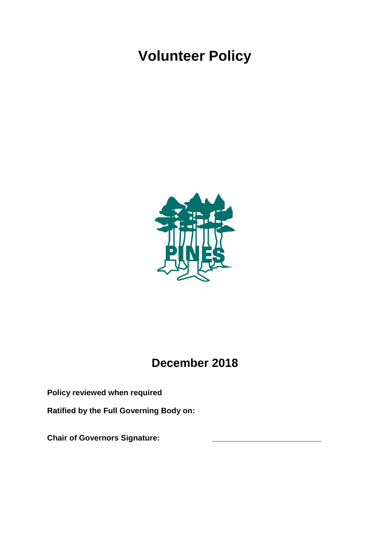# **Volunteer Policy**



# **December 2018**

**Policy reviewed when required**

**Ratified by the Full Governing Body on:**

**Chair of Governors Signature: \_\_\_\_\_\_\_\_\_\_\_\_\_\_\_\_\_\_\_\_\_\_\_\_\_**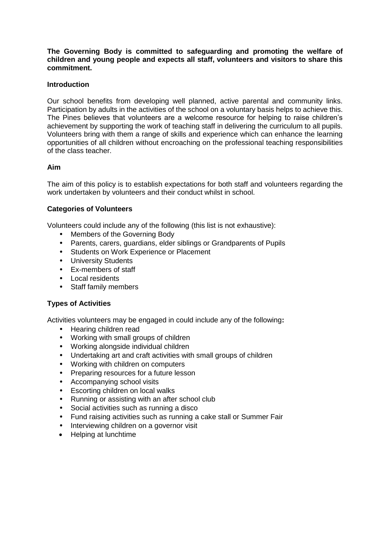**The Governing Body is committed to safeguarding and promoting the welfare of children and young people and expects all staff, volunteers and visitors to share this commitment.**

# **Introduction**

Our school benefits from developing well planned, active parental and community links. Participation by adults in the activities of the school on a voluntary basis helps to achieve this. The Pines believes that volunteers are a welcome resource for helping to raise children's achievement by supporting the work of teaching staff in delivering the curriculum to all pupils. Volunteers bring with them a range of skills and experience which can enhance the learning opportunities of all children without encroaching on the professional teaching responsibilities of the class teacher.

#### **Aim**

The aim of this policy is to establish expectations for both staff and volunteers regarding the work undertaken by volunteers and their conduct whilst in school.

# **Categories of Volunteers**

Volunteers could include any of the following (this list is not exhaustive):

- Members of the Governing Body
- Parents, carers, guardians, elder siblings or Grandparents of Pupils
- Students on Work Experience or Placement
- University Students
- Ex-members of staff
- Local residents
- Staff family members

# **Types of Activities**

Activities volunteers may be engaged in could include any of the following**:**

- Hearing children read
- Working with small groups of children
- Working alongside individual children
- Undertaking art and craft activities with small groups of children
- Working with children on computers
- Preparing resources for a future lesson
- Accompanying school visits
- Escorting children on local walks
- Running or assisting with an after school club
- Social activities such as running a disco
- Fund raising activities such as running a cake stall or Summer Fair
- Interviewing children on a governor visit
- Helping at lunchtime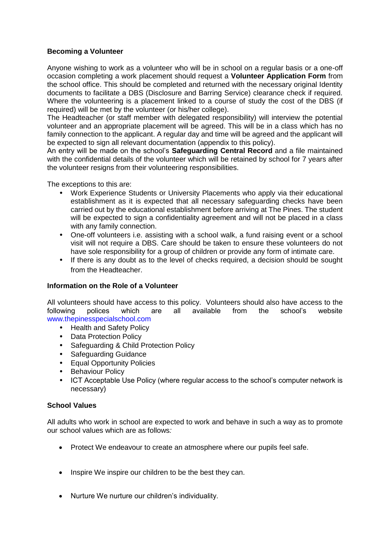# **Becoming a Volunteer**

Anyone wishing to work as a volunteer who will be in school on a regular basis or a one-off occasion completing a work placement should request a **Volunteer Application Form** from the school office. This should be completed and returned with the necessary original Identity documents to facilitate a DBS (Disclosure and Barring Service) clearance check if required. Where the volunteering is a placement linked to a course of study the cost of the DBS (if required) will be met by the volunteer (or his/her college).

The Headteacher (or staff member with delegated responsibility) will interview the potential volunteer and an appropriate placement will be agreed. This will be in a class which has no family connection to the applicant. A regular day and time will be agreed and the applicant will be expected to sign all relevant documentation (appendix to this policy).

An entry will be made on the school's **Safeguarding Central Record** and a file maintained with the confidential details of the volunteer which will be retained by school for 7 years after the volunteer resigns from their volunteering responsibilities.

The exceptions to this are:

- Work Experience Students or University Placements who apply via their educational establishment as it is expected that all necessary safeguarding checks have been carried out by the educational establishment before arriving at The Pines. The student will be expected to sign a confidentiality agreement and will not be placed in a class with any family connection.
- One-off volunteers i.e. assisting with a school walk, a fund raising event or a school visit will not require a DBS. Care should be taken to ensure these volunteers do not have sole responsibility for a group of children or provide any form of intimate care.
- If there is any doubt as to the level of checks required, a decision should be sought from the Headteacher.

# **Information on the Role of a Volunteer**

All volunteers should have access to this policy. Volunteers should also have access to the following polices which are all available from the school's website www.thepinesspecialschool.com

- Health and Safety Policy
- Data Protection Policy
- Safeguarding & Child Protection Policy
- Safeguarding Guidance
- Equal Opportunity Policies
- **Behaviour Policy**
- ICT Acceptable Use Policy (where regular access to the school's computer network is necessary)

# **School Values**

All adults who work in school are expected to work and behave in such a way as to promote our school values which are as follows*:*

- Protect We endeavour to create an atmosphere where our pupils feel safe.
- Inspire We inspire our children to be the best they can.
- Nurture We nurture our children's individuality.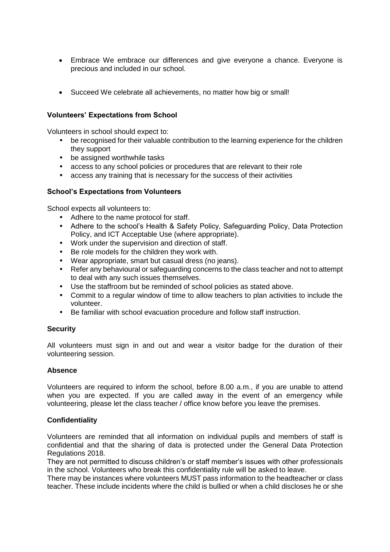- Embrace We embrace our differences and give everyone a chance. Everyone is precious and included in our school.
- Succeed We celebrate all achievements, no matter how big or small!

# **Volunteers' Expectations from School**

Volunteers in school should expect to:

- be recognised for their valuable contribution to the learning experience for the children they support
- be assigned worthwhile tasks
- access to any school policies or procedures that are relevant to their role
- access any training that is necessary for the success of their activities

#### **School's Expectations from Volunteers**

School expects all volunteers to:

- Adhere to the name protocol for staff.
- Adhere to the school's Health & Safety Policy, Safeguarding Policy, Data Protection Policy, and ICT Acceptable Use (where appropriate).
- Work under the supervision and direction of staff.
- Be role models for the children they work with.
- Wear appropriate, smart but casual dress (no jeans).
- Refer any behavioural or safeguarding concerns to the class teacher and not to attempt to deal with any such issues themselves.
- Use the staffroom but be reminded of school policies as stated above.
- Commit to a regular window of time to allow teachers to plan activities to include the volunteer.
- Be familiar with school evacuation procedure and follow staff instruction.

# **Security**

All volunteers must sign in and out and wear a visitor badge for the duration of their volunteering session.

#### **Absence**

Volunteers are required to inform the school, before 8.00 a.m., if you are unable to attend when you are expected. If you are called away in the event of an emergency while volunteering, please let the class teacher / office know before you leave the premises.

#### **Confidentiality**

Volunteers are reminded that all information on individual pupils and members of staff is confidential and that the sharing of data is protected under the General Data Protection Regulations 2018.

They are not permitted to discuss children's or staff member's issues with other professionals in the school. Volunteers who break this confidentiality rule will be asked to leave.

There may be instances where volunteers MUST pass information to the headteacher or class teacher. These include incidents where the child is bullied or when a child discloses he or she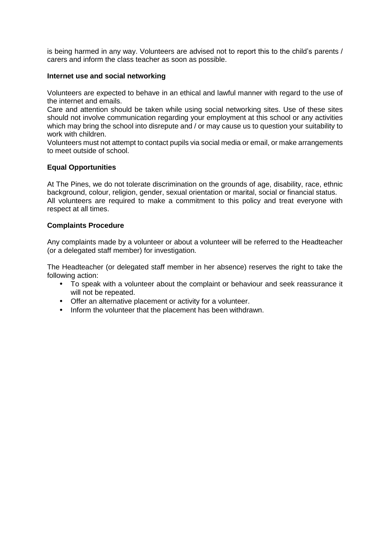is being harmed in any way. Volunteers are advised not to report this to the child's parents / carers and inform the class teacher as soon as possible.

### **Internet use and social networking**

Volunteers are expected to behave in an ethical and lawful manner with regard to the use of the internet and emails.

Care and attention should be taken while using social networking sites. Use of these sites should not involve communication regarding your employment at this school or any activities which may bring the school into disrepute and / or may cause us to question your suitability to work with children.

Volunteers must not attempt to contact pupils via social media or email, or make arrangements to meet outside of school.

#### **Equal Opportunities**

At The Pines, we do not tolerate discrimination on the grounds of age, disability, race, ethnic background, colour, religion, gender, sexual orientation or marital, social or financial status. All volunteers are required to make a commitment to this policy and treat everyone with respect at all times.

#### **Complaints Procedure**

Any complaints made by a volunteer or about a volunteer will be referred to the Headteacher (or a delegated staff member) for investigation.

The Headteacher (or delegated staff member in her absence) reserves the right to take the following action:

- To speak with a volunteer about the complaint or behaviour and seek reassurance it will not be repeated.
- Offer an alternative placement or activity for a volunteer.
- Inform the volunteer that the placement has been withdrawn.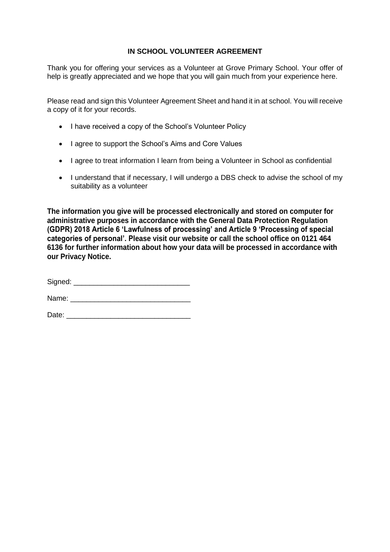# **IN SCHOOL VOLUNTEER AGREEMENT**

Thank you for offering your services as a Volunteer at Grove Primary School. Your offer of help is greatly appreciated and we hope that you will gain much from your experience here.

Please read and sign this Volunteer Agreement Sheet and hand it in at school. You will receive a copy of it for your records.

- I have received a copy of the School's Volunteer Policy
- I agree to support the School's Aims and Core Values
- I agree to treat information I learn from being a Volunteer in School as confidential
- I understand that if necessary, I will undergo a DBS check to advise the school of my suitability as a volunteer

**The information you give will be processed electronically and stored on computer for administrative purposes in accordance with the General Data Protection Regulation (GDPR) 2018 Article 6 'Lawfulness of processing' and Article 9 'Processing of special categories of personal'. Please visit our website or call the school office on 0121 464 6136 for further information about how your data will be processed in accordance with our Privacy Notice.** 

Signed: \_\_\_\_\_\_\_\_\_\_\_\_\_\_\_\_\_\_\_\_\_\_\_\_\_\_\_\_\_

Name:

Date: \_\_\_\_\_\_\_\_\_\_\_\_\_\_\_\_\_\_\_\_\_\_\_\_\_\_\_\_\_\_\_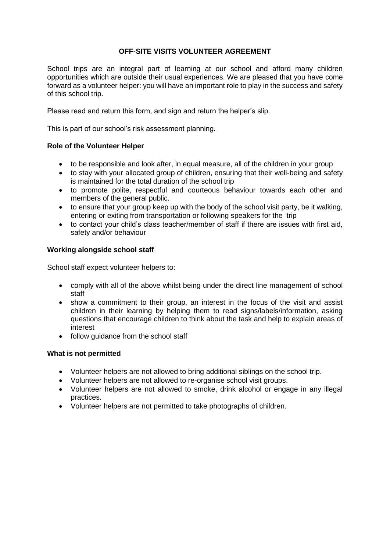# **OFF-SITE VISITS VOLUNTEER AGREEMENT**

School trips are an integral part of learning at our school and afford many children opportunities which are outside their usual experiences. We are pleased that you have come forward as a volunteer helper: you will have an important role to play in the success and safety of this school trip.

Please read and return this form, and sign and return the helper's slip.

This is part of our school's risk assessment planning.

#### **Role of the Volunteer Helper**

- to be responsible and look after, in equal measure, all of the children in your group
- to stay with your allocated group of children, ensuring that their well-being and safety is maintained for the total duration of the school trip
- to promote polite, respectful and courteous behaviour towards each other and members of the general public.
- to ensure that your group keep up with the body of the school visit party, be it walking, entering or exiting from transportation or following speakers for the trip
- to contact your child's class teacher/member of staff if there are issues with first aid, safety and/or behaviour

#### **Working alongside school staff**

School staff expect volunteer helpers to:

- comply with all of the above whilst being under the direct line management of school staff
- show a commitment to their group, an interest in the focus of the visit and assist children in their learning by helping them to read signs/labels/information, asking questions that encourage children to think about the task and help to explain areas of interest
- follow guidance from the school staff

#### **What is not permitted**

- Volunteer helpers are not allowed to bring additional siblings on the school trip.
- Volunteer helpers are not allowed to re-organise school visit groups.
- Volunteer helpers are not allowed to smoke, drink alcohol or engage in any illegal practices.
- Volunteer helpers are not permitted to take photographs of children.